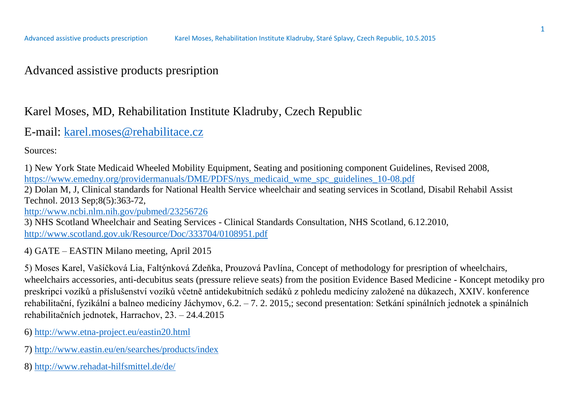### Advanced assistive products presription

### Karel Moses, MD, Rehabilitation Institute Kladruby, Czech Republic

#### E-mail: [karel.moses@rehabilitace.cz](mailto:karel.moses@rehabilitace.cz)

Sources:

1) New York State Medicaid Wheeled Mobility Equipment, Seating and positioning component Guidelines, Revised 2008, [https://www.emedny.org/providermanuals/DME/PDFS/nys\\_medicaid\\_wme\\_spc\\_guidelines\\_10-08.pdf](https://www.emedny.org/providermanuals/DME/PDFS/nys_medicaid_wme_spc_guidelines_10-08.pdf)

2) Dolan M, J, Clinical standards for National Health Service wheelchair and seating services in Scotland, Disabil Rehabil Assist Technol. 2013 Sep;8(5):363-72,

<http://www.ncbi.nlm.nih.gov/pubmed/23256726>

3) NHS Scotland Wheelchair and Seating Services - Clinical Standards Consultation, NHS Scotland, 6.12.2010, <http://www.scotland.gov.uk/Resource/Doc/333704/0108951.pdf>

4) GATE – EASTIN Milano meeting, April 2015

5) Moses Karel, Vašíčková Lia, Faltýnková Zdeňka, Prouzová Pavlína, Concept of methodology for presription of wheelchairs, wheelchairs accessories, anti-decubitus seats (pressure relieve seats) from the position Evidence Based Medicine - Koncept metodiky pro preskripci vozíků a příslušenství vozíků včetně antidekubitních sedáků z pohledu medicíny založené na důkazech, XXIV. konference rehabilitační, fyzikální a balneo medicíny Jáchymov, 6.2. – 7. 2. 2015,; second presentation: Setkání spinálních jednotek a spinálních rehabilitačních jednotek, Harrachov, 23. – 24.4.2015

6)<http://www.etna-project.eu/eastin20.html>

- 7)<http://www.eastin.eu/en/searches/products/index>
- 8)<http://www.rehadat-hilfsmittel.de/de/>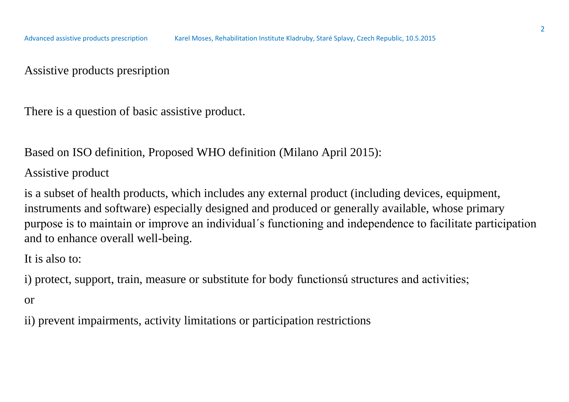#### Assistive products presription

There is a question of basic assistive product.

Based on ISO definition, Proposed WHO definition (Milano April 2015):

#### Assistive product

is a subset of health products, which includes any external product (including devices, equipment, instruments and software) especially designed and produced or generally available, whose primary purpose is to maintain or improve an individual´s functioning and independence to facilitate participation and to enhance overall well-being.

It is also to:

i) protect, support, train, measure or substitute for body functionsú structures and activities;

or

ii) prevent impairments, activity limitations or participation restrictions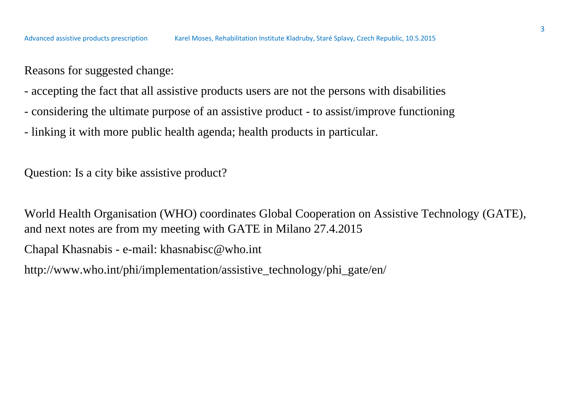Reasons for suggested change:

- accepting the fact that all assistive products users are not the persons with disabilities
- considering the ultimate purpose of an assistive product to assist/improve functioning
- linking it with more public health agenda; health products in particular.

Question: Is a city bike assistive product?

World Health Organisation (WHO) coordinates Global Cooperation on Assistive Technology (GATE), and next notes are from my meeting with GATE in Milano 27.4.2015

Chapal Khasnabis - e-mail: khasnabisc@who.int

http://www.who.int/phi/implementation/assistive\_technology/phi\_gate/en/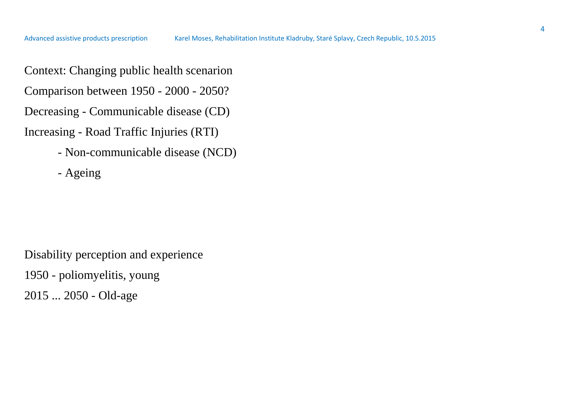- Context: Changing public health scenarion
- Comparison between 1950 2000 2050?
- Decreasing Communicable disease (CD)
- Increasing Road Traffic Injuries (RTI)
	- Non-communicable disease (NCD)
	- Ageing

Disability perception and experience

1950 - poliomyelitis, young

2015 ... 2050 - Old-age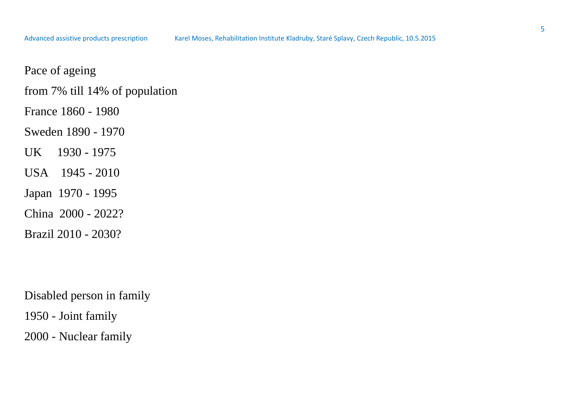- from 7% till 14% of population
- France 1860 1980
- Sweden 1890 1970
- UK 1930 1975
- USA 1945 2010
- Japan 1970 1995
- China 2000 2022?
- Brazil 2010 2030?

Disabled person in family 1950 - Joint family

2000 - Nuclear family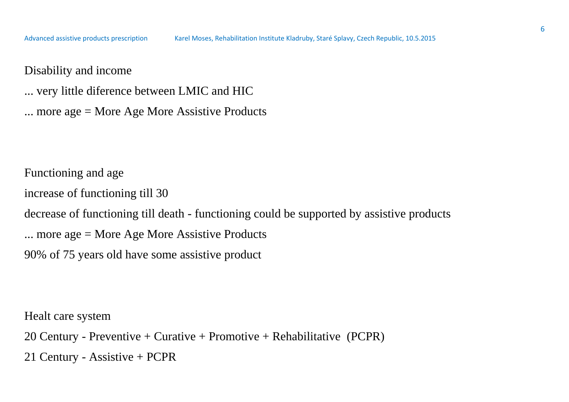Disability and income

... very little diference between LMIC and HIC

... more age = More Age More Assistive Products

Functioning and age

increase of functioning till 30

decrease of functioning till death - functioning could be supported by assistive products

... more age = More Age More Assistive Products

90% of 75 years old have some assistive product

Healt care system

20 Century - Preventive + Curative + Promotive + Rehabilitative (PCPR) 21 Century - Assistive + PCPR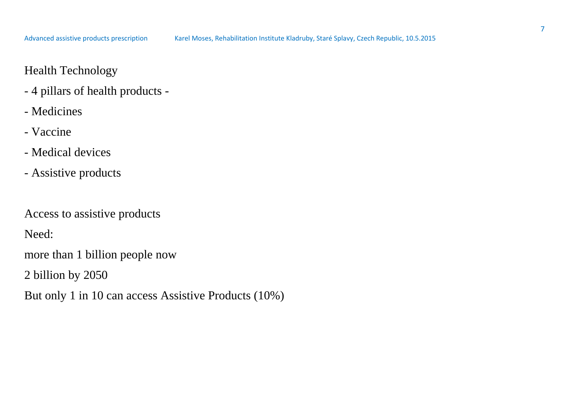## Health Technology

- 4 pillars of health products -
- Medicines
- Vaccine
- Medical devices
- Assistive products

Access to assistive products

Need:

more than 1 billion people now

2 billion by 2050

But only 1 in 10 can access Assistive Products (10%)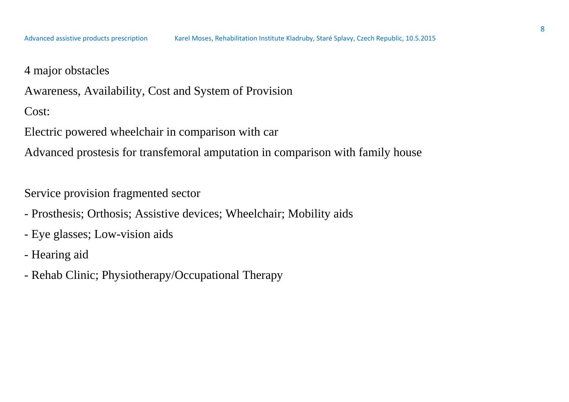4 major obstacles

Awareness, Availability, Cost and System of Provision

Cost:

Electric powered wheelchair in comparison with car

Advanced prostesis for transfemoral amputation in comparison with family house

Service provision fragmented sector

- Prosthesis; Orthosis; Assistive devices; Wheelchair; Mobility aids
- Eye glasses; Low-vision aids
- Hearing aid
- Rehab Clinic; Physiotherapy/Occupational Therapy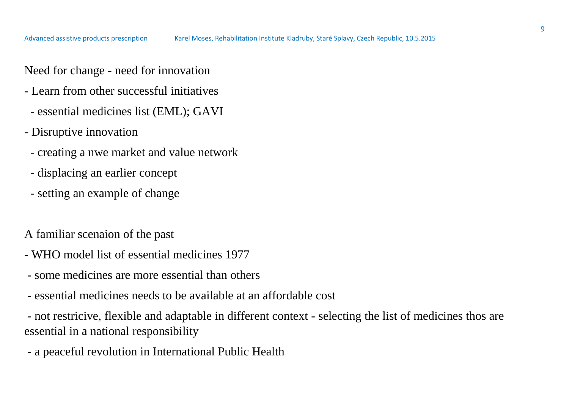Need for change - need for innovation

- Learn from other successful initiatives
	- essential medicines list (EML); GAVI
- Disruptive innovation
	- creating a nwe market and value network
	- displacing an earlier concept
	- setting an example of change

A familiar scenaion of the past

- WHO model list of essential medicines 1977
- some medicines are more essential than others
- essential medicines needs to be available at an affordable cost

- not restricive, flexible and adaptable in different context - selecting the list of medicines thos are essential in a national responsibility

- a peaceful revolution in International Public Health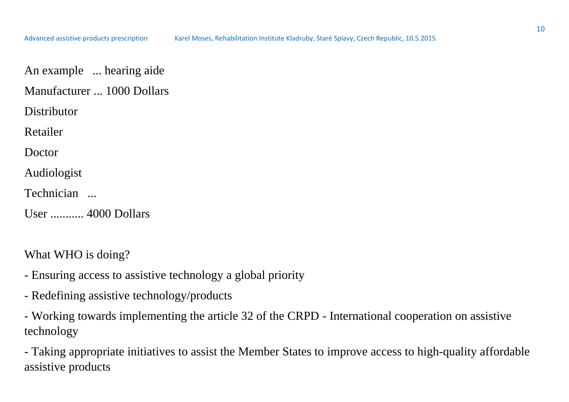An example ... hearing aide

Manufacturer ... 1000 Dollars

**Distributor** 

Retailer

Doctor

Audiologist

Technician ...

User ........... 4000 Dollars

What WHO is doing?

- Ensuring access to assistive technology a global priority
- Redefining assistive technology/products

- Working towards implementing the article 32 of the CRPD - International cooperation on assistive technology

- Taking appropriate initiatives to assist the Member States to improve access to high-quality affordable assistive products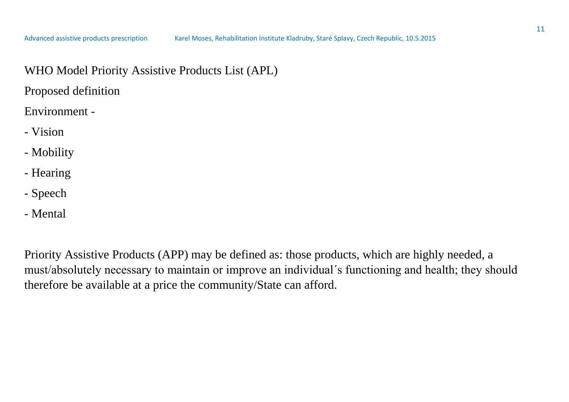WHO Model Priority Assistive Products List (APL)

Proposed definition

Environment -

- Vision
- Mobility
- Hearing
- Speech
- Mental

Priority Assistive Products (APP) may be defined as: those products, which are highly needed, a must/absolutely necessary to maintain or improve an individual´s functioning and health; they should therefore be available at a price the community/State can afford.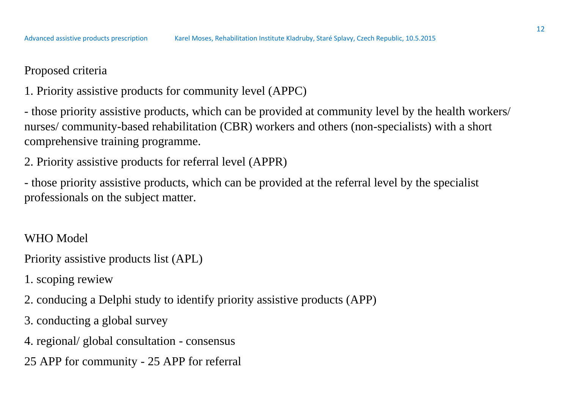## Proposed criteria

1. Priority assistive products for community level (APPC)

- those priority assistive products, which can be provided at community level by the health workers/ nurses/ community-based rehabilitation (CBR) workers and others (non-specialists) with a short comprehensive training programme.

2. Priority assistive products for referral level (APPR)

- those priority assistive products, which can be provided at the referral level by the specialist professionals on the subject matter.

WHO Model

- Priority assistive products list (APL)
- 1. scoping rewiew
- 2. conducing a Delphi study to identify priority assistive products (APP)
- 3. conducting a global survey
- 4. regional/ global consultation consensus
- 25 APP for community 25 APP for referral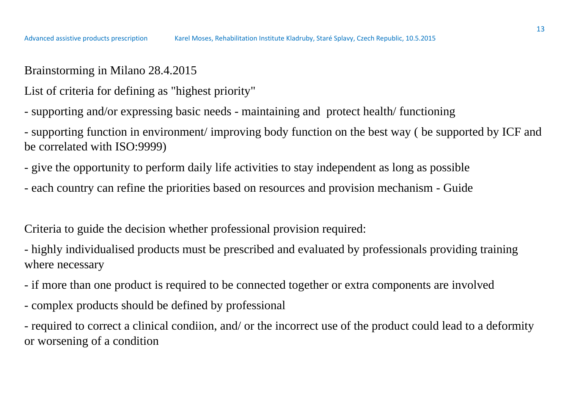Brainstorming in Milano 28.4.2015

List of criteria for defining as "highest priority"

- supporting and/or expressing basic needs - maintaining and protect health/ functioning

- supporting function in environment/ improving body function on the best way ( be supported by ICF and be correlated with ISO:9999)

- give the opportunity to perform daily life activities to stay independent as long as possible

- each country can refine the priorities based on resources and provision mechanism - Guide

Criteria to guide the decision whether professional provision required:

- highly individualised products must be prescribed and evaluated by professionals providing training where necessary

- if more than one product is required to be connected together or extra components are involved
- complex products should be defined by professional

- required to correct a clinical condiion, and/ or the incorrect use of the product could lead to a deformity or worsening of a condition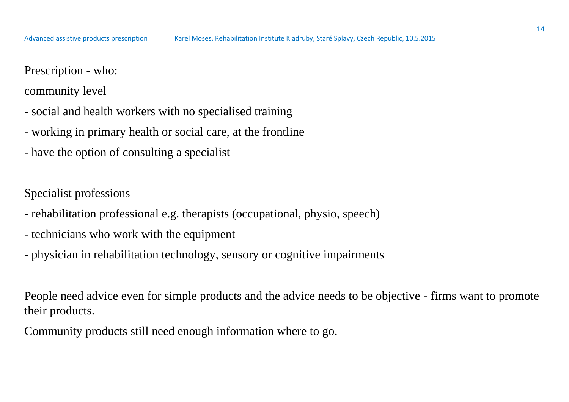#### Prescription - who:

community level

- social and health workers with no specialised training
- working in primary health or social care, at the frontline
- have the option of consulting a specialist

Specialist professions

- rehabilitation professional e.g. therapists (occupational, physio, speech)
- technicians who work with the equipment
- physician in rehabilitation technology, sensory or cognitive impairments

People need advice even for simple products and the advice needs to be objective - firms want to promote their products.

Community products still need enough information where to go.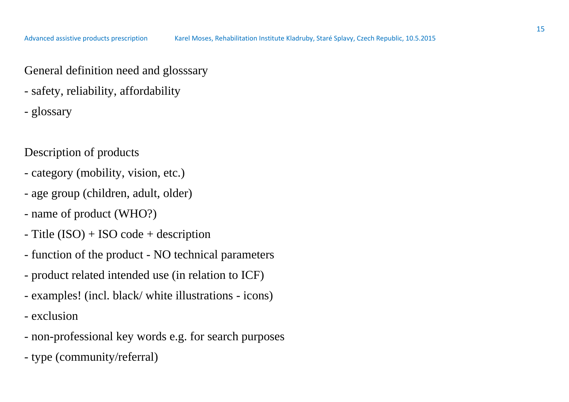General definition need and glosssary

- safety, reliability, affordability

- glossary

#### Description of products

- category (mobility, vision, etc.)
- age group (children, adult, older)
- name of product (WHO?)
- Title (ISO) + ISO code + description
- function of the product NO technical parameters
- product related intended use (in relation to ICF)
- examples! (incl. black/ white illustrations icons)
- exclusion
- non-professional key words e.g. for search purposes
- type (community/referral)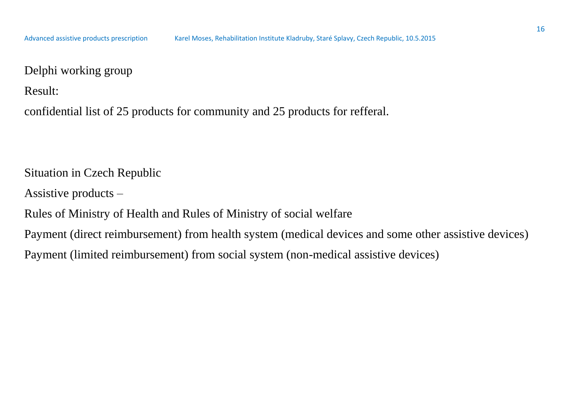Delphi working group

Result:

confidential list of 25 products for community and 25 products for refferal.

Situation in Czech Republic

Assistive products –

Rules of Ministry of Health and Rules of Ministry of social welfare

Payment (direct reimbursement) from health system (medical devices and some other assistive devices)

Payment (limited reimbursement) from social system (non-medical assistive devices)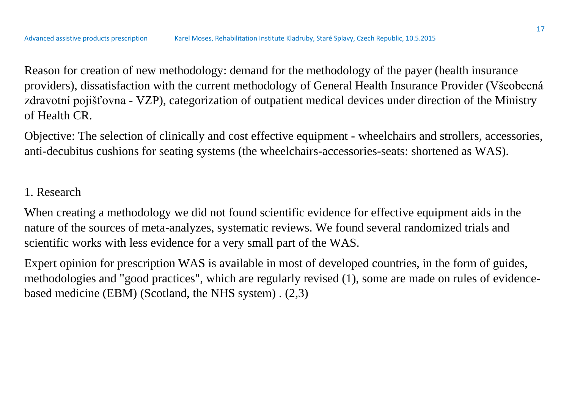Reason for creation of new methodology: demand for the methodology of the payer (health insurance providers), dissatisfaction with the current methodology of General Health Insurance Provider (Všeobecná zdravotní pojišťovna - VZP), categorization of outpatient medical devices under direction of the Ministry of Health CR.

Objective: The selection of clinically and cost effective equipment - wheelchairs and strollers, accessories, anti-decubitus cushions for seating systems (the wheelchairs-accessories-seats: shortened as WAS).

## 1. Research

When creating a methodology we did not found scientific evidence for effective equipment aids in the nature of the sources of meta-analyzes, systematic reviews. We found several randomized trials and scientific works with less evidence for a very small part of the WAS.

Expert opinion for prescription WAS is available in most of developed countries, in the form of guides, methodologies and "good practices", which are regularly revised (1), some are made on rules of evidencebased medicine (EBM) (Scotland, the NHS system) . (2,3)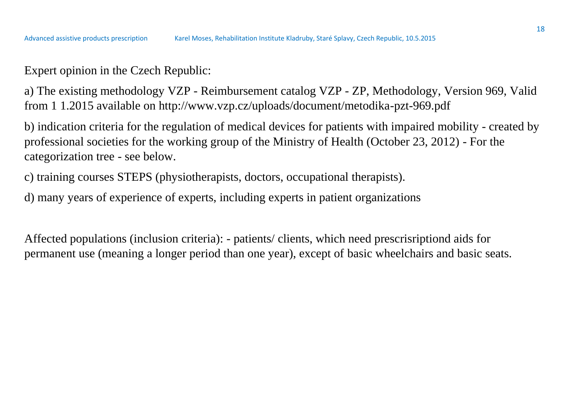Expert opinion in the Czech Republic:

a) The existing methodology VZP - Reimbursement catalog VZP - ZP, Methodology, Version 969, Valid from 1 1.2015 available on http://www.vzp.cz/uploads/document/metodika-pzt-969.pdf

b) indication criteria for the regulation of medical devices for patients with impaired mobility - created by professional societies for the working group of the Ministry of Health (October 23, 2012) - For the categorization tree - see below.

c) training courses STEPS (physiotherapists, doctors, occupational therapists).

d) many years of experience of experts, including experts in patient organizations

Affected populations (inclusion criteria): - patients/ clients, which need prescrisriptiond aids for permanent use (meaning a longer period than one year), except of basic wheelchairs and basic seats.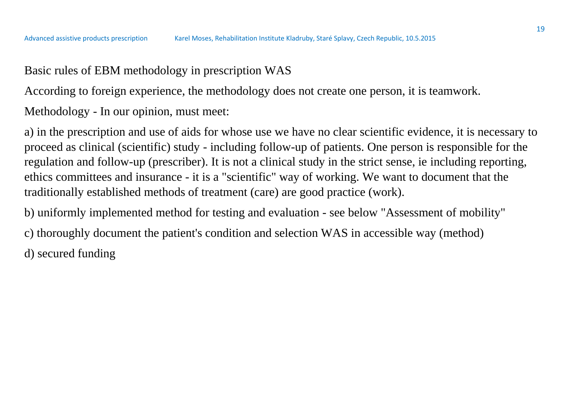## Basic rules of EBM methodology in prescription WAS

According to foreign experience, the methodology does not create one person, it is teamwork.

Methodology - In our opinion, must meet:

a) in the prescription and use of aids for whose use we have no clear scientific evidence, it is necessary to proceed as clinical (scientific) study - including follow-up of patients. One person is responsible for the regulation and follow-up (prescriber). It is not a clinical study in the strict sense, ie including reporting, ethics committees and insurance - it is a "scientific" way of working. We want to document that the traditionally established methods of treatment (care) are good practice (work).

b) uniformly implemented method for testing and evaluation - see below "Assessment of mobility"

c) thoroughly document the patient's condition and selection WAS in accessible way (method) d) secured funding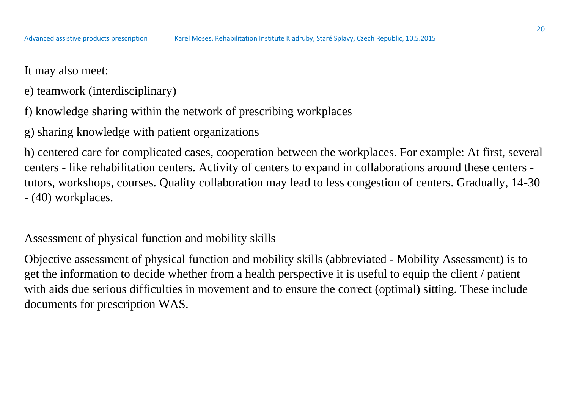- e) teamwork (interdisciplinary)
- f) knowledge sharing within the network of prescribing workplaces
- g) sharing knowledge with patient organizations

h) centered care for complicated cases, cooperation between the workplaces. For example: At first, several centers - like rehabilitation centers. Activity of centers to expand in collaborations around these centers tutors, workshops, courses. Quality collaboration may lead to less congestion of centers. Gradually, 14-30 - (40) workplaces.

Assessment of physical function and mobility skills

Objective assessment of physical function and mobility skills (abbreviated - Mobility Assessment) is to get the information to decide whether from a health perspective it is useful to equip the client / patient with aids due serious difficulties in movement and to ensure the correct (optimal) sitting. These include documents for prescription WAS.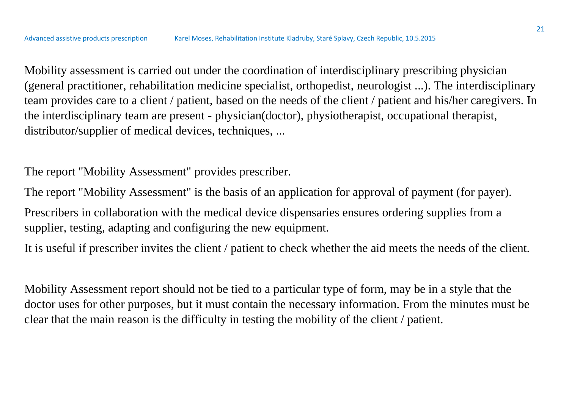Mobility assessment is carried out under the coordination of interdisciplinary prescribing physician (general practitioner, rehabilitation medicine specialist, orthopedist, neurologist ...). The interdisciplinary team provides care to a client / patient, based on the needs of the client / patient and his/her caregivers. In the interdisciplinary team are present - physician(doctor), physiotherapist, occupational therapist, distributor/supplier of medical devices, techniques, ...

The report "Mobility Assessment" provides prescriber.

The report "Mobility Assessment" is the basis of an application for approval of payment (for payer).

Prescribers in collaboration with the medical device dispensaries ensures ordering supplies from a supplier, testing, adapting and configuring the new equipment.

It is useful if prescriber invites the client / patient to check whether the aid meets the needs of the client.

Mobility Assessment report should not be tied to a particular type of form, may be in a style that the doctor uses for other purposes, but it must contain the necessary information. From the minutes must be clear that the main reason is the difficulty in testing the mobility of the client / patient.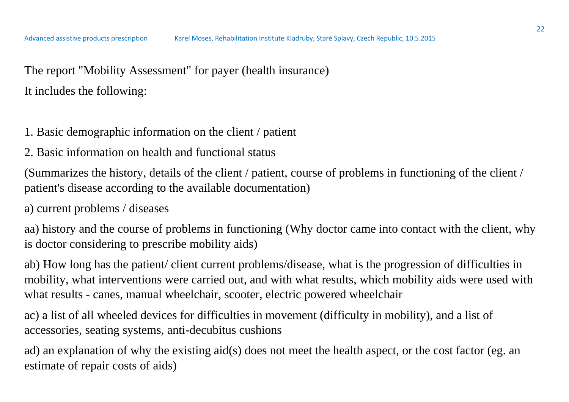The report "Mobility Assessment" for payer (health insurance) It includes the following:

- 1. Basic demographic information on the client / patient
- 2. Basic information on health and functional status

(Summarizes the history, details of the client / patient, course of problems in functioning of the client / patient's disease according to the available documentation)

a) current problems / diseases

aa) history and the course of problems in functioning (Why doctor came into contact with the client, why is doctor considering to prescribe mobility aids)

ab) How long has the patient/ client current problems/disease, what is the progression of difficulties in mobility, what interventions were carried out, and with what results, which mobility aids were used with what results - canes, manual wheelchair, scooter, electric powered wheelchair

ac) a list of all wheeled devices for difficulties in movement (difficulty in mobility), and a list of accessories, seating systems, anti-decubitus cushions

ad) an explanation of why the existing aid(s) does not meet the health aspect, or the cost factor (eg. an estimate of repair costs of aids)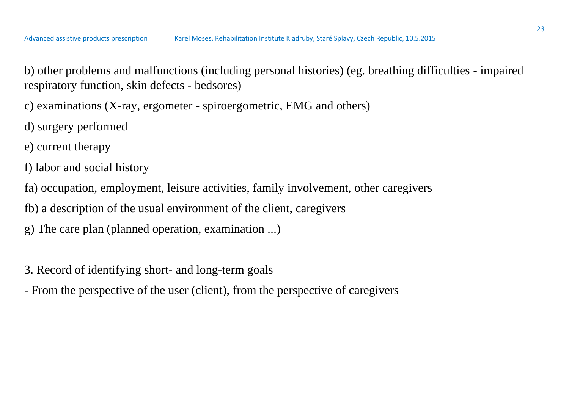b) other problems and malfunctions (including personal histories) (eg. breathing difficulties - impaired respiratory function, skin defects - bedsores)

c) examinations (X-ray, ergometer - spiroergometric, EMG and others)

- d) surgery performed
- e) current therapy
- f) labor and social history
- fa) occupation, employment, leisure activities, family involvement, other caregivers
- fb) a description of the usual environment of the client, caregivers
- g) The care plan (planned operation, examination ...)
- 3. Record of identifying short- and long-term goals
- From the perspective of the user (client), from the perspective of caregivers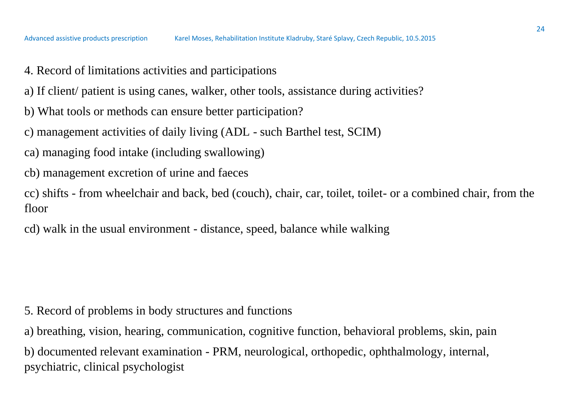- 4. Record of limitations activities and participations
- a) If client/ patient is using canes, walker, other tools, assistance during activities?
- b) What tools or methods can ensure better participation?
- c) management activities of daily living (ADL such Barthel test, SCIM)
- ca) managing food intake (including swallowing)
- cb) management excretion of urine and faeces
- cc) shifts from wheelchair and back, bed (couch), chair, car, toilet, toilet- or a combined chair, from the floor
- cd) walk in the usual environment distance, speed, balance while walking

- 5. Record of problems in body structures and functions
- a) breathing, vision, hearing, communication, cognitive function, behavioral problems, skin, pain
- b) documented relevant examination PRM, neurological, orthopedic, ophthalmology, internal, psychiatric, clinical psychologist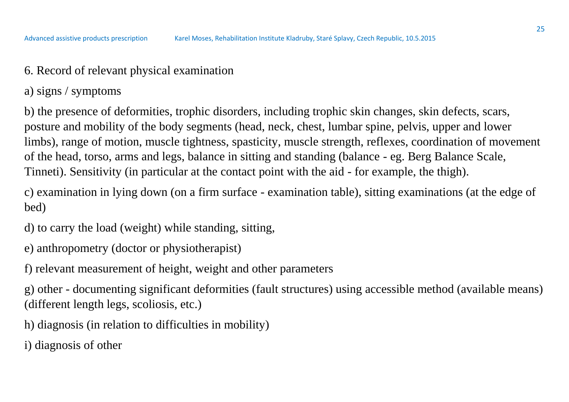- 6. Record of relevant physical examination
- a) signs / symptoms

b) the presence of deformities, trophic disorders, including trophic skin changes, skin defects, scars, posture and mobility of the body segments (head, neck, chest, lumbar spine, pelvis, upper and lower limbs), range of motion, muscle tightness, spasticity, muscle strength, reflexes, coordination of movement of the head, torso, arms and legs, balance in sitting and standing (balance - eg. Berg Balance Scale, Tinneti). Sensitivity (in particular at the contact point with the aid - for example, the thigh).

c) examination in lying down (on a firm surface - examination table), sitting examinations (at the edge of bed)

- d) to carry the load (weight) while standing, sitting,
- e) anthropometry (doctor or physiotherapist)
- f) relevant measurement of height, weight and other parameters

g) other - documenting significant deformities (fault structures) using accessible method (available means) (different length legs, scoliosis, etc.)

- h) diagnosis (in relation to difficulties in mobility)
- i) diagnosis of other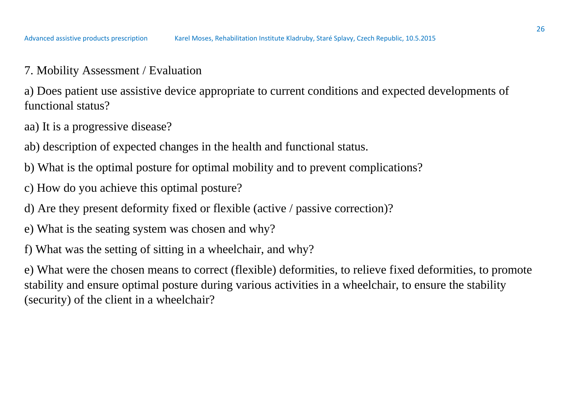7. Mobility Assessment / Evaluation

a) Does patient use assistive device appropriate to current conditions and expected developments of functional status?

- aa) It is a progressive disease?
- ab) description of expected changes in the health and functional status.
- b) What is the optimal posture for optimal mobility and to prevent complications?
- c) How do you achieve this optimal posture?
- d) Are they present deformity fixed or flexible (active / passive correction)?
- e) What is the seating system was chosen and why?
- f) What was the setting of sitting in a wheelchair, and why?

e) What were the chosen means to correct (flexible) deformities, to relieve fixed deformities, to promote stability and ensure optimal posture during various activities in a wheelchair, to ensure the stability (security) of the client in a wheelchair?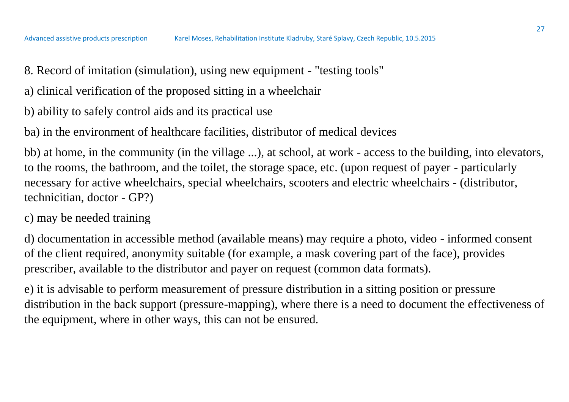- 8. Record of imitation (simulation), using new equipment "testing tools"
- a) clinical verification of the proposed sitting in a wheelchair
- b) ability to safely control aids and its practical use

ba) in the environment of healthcare facilities, distributor of medical devices

bb) at home, in the community (in the village ...), at school, at work - access to the building, into elevators, to the rooms, the bathroom, and the toilet, the storage space, etc. (upon request of payer - particularly necessary for active wheelchairs, special wheelchairs, scooters and electric wheelchairs - (distributor, technicitian, doctor - GP?)

### c) may be needed training

d) documentation in accessible method (available means) may require a photo, video - informed consent of the client required, anonymity suitable (for example, a mask covering part of the face), provides prescriber, available to the distributor and payer on request (common data formats).

e) it is advisable to perform measurement of pressure distribution in a sitting position or pressure distribution in the back support (pressure-mapping), where there is a need to document the effectiveness of the equipment, where in other ways, this can not be ensured.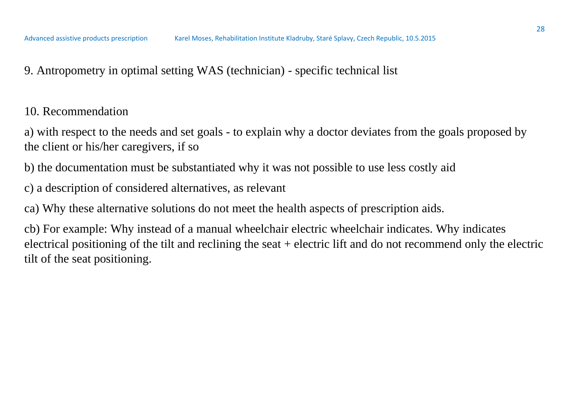9. Antropometry in optimal setting WAS (technician) - specific technical list

10. Recommendation

a) with respect to the needs and set goals - to explain why a doctor deviates from the goals proposed by the client or his/her caregivers, if so

b) the documentation must be substantiated why it was not possible to use less costly aid

c) a description of considered alternatives, as relevant

ca) Why these alternative solutions do not meet the health aspects of prescription aids.

cb) For example: Why instead of a manual wheelchair electric wheelchair indicates. Why indicates electrical positioning of the tilt and reclining the seat + electric lift and do not recommend only the electric tilt of the seat positioning.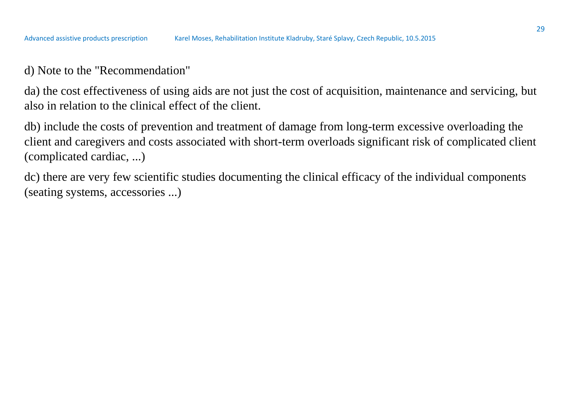### d) Note to the "Recommendation"

da) the cost effectiveness of using aids are not just the cost of acquisition, maintenance and servicing, but also in relation to the clinical effect of the client.

db) include the costs of prevention and treatment of damage from long-term excessive overloading the client and caregivers and costs associated with short-term overloads significant risk of complicated client (complicated cardiac, ...)

dc) there are very few scientific studies documenting the clinical efficacy of the individual components (seating systems, accessories ...)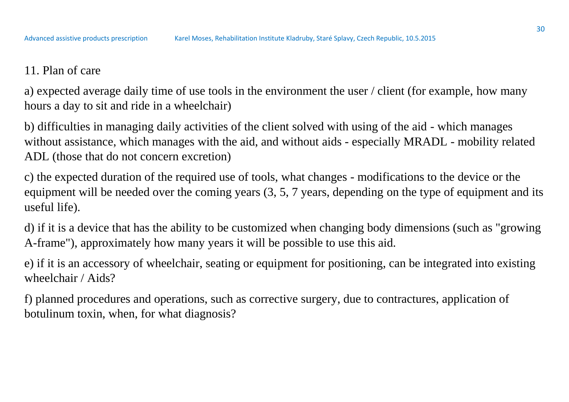# 11. Plan of care

a) expected average daily time of use tools in the environment the user / client (for example, how many hours a day to sit and ride in a wheelchair)

b) difficulties in managing daily activities of the client solved with using of the aid - which manages without assistance, which manages with the aid, and without aids - especially MRADL - mobility related ADL (those that do not concern excretion)

c) the expected duration of the required use of tools, what changes - modifications to the device or the equipment will be needed over the coming years (3, 5, 7 years, depending on the type of equipment and its useful life).

d) if it is a device that has the ability to be customized when changing body dimensions (such as "growing A-frame"), approximately how many years it will be possible to use this aid.

e) if it is an accessory of wheelchair, seating or equipment for positioning, can be integrated into existing wheelchair / Aids?

f) planned procedures and operations, such as corrective surgery, due to contractures, application of botulinum toxin, when, for what diagnosis?